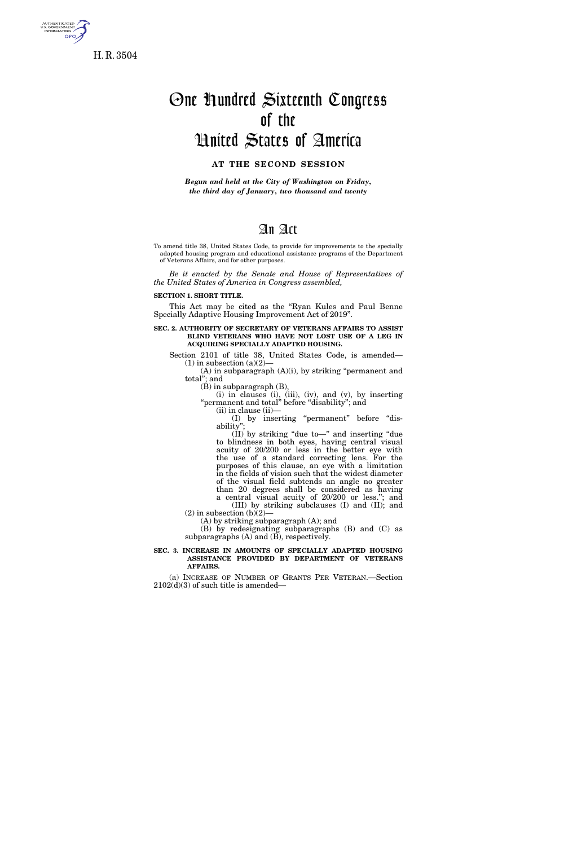

**GPO** 

# One Hundred Sixteenth Congress of the United States of America

## **AT THE SECOND SESSION**

*Begun and held at the City of Washington on Friday, the third day of January, two thousand and twenty* 

# An Act

To amend title 38, United States Code, to provide for improvements to the specially adapted housing program and educational assistance programs of the Department of Veterans Affairs, and for other purposes.

*Be it enacted by the Senate and House of Representatives of the United States of America in Congress assembled,* 

**SECTION 1. SHORT TITLE.** 

This Act may be cited as the ''Ryan Kules and Paul Benne Specially Adaptive Housing Improvement Act of 2019''.

**SEC. 2. AUTHORITY OF SECRETARY OF VETERANS AFFAIRS TO ASSIST BLIND VETERANS WHO HAVE NOT LOST USE OF A LEG IN ACQUIRING SPECIALLY ADAPTED HOUSING.** 

Section 2101 of title 38, United States Code, is amended—  $(1)$  in subsection  $(a)(2)$ —

 $(A)$  in subparagraph  $(A)(i)$ , by striking "permanent and total''; and

(B) in subparagraph (B),

(i) in clauses (i), (iii), (iv), and (v), by inserting ''permanent and total'' before ''disability''; and (ii) in clause (ii)—

(I) by inserting ''permanent'' before ''disability'

 $(\tilde{II})$  by striking "due to—" and inserting "due to blindness in both eyes, having central visual acuity of 20/200 or less in the better eye with the use of a standard correcting lens. For the purposes of this clause, an eye with a limitation in the fields of vision such that the widest diameter of the visual field subtends an angle no greater than 20 degrees shall be considered as having a central visual acuity of 20/200 or less.''; and

(III) by striking subclauses (I) and (II); and  $(2)$  in subsection  $(b)(2)$ 

(A) by striking subparagraph (A); and

(B) by redesignating subparagraphs (B) and (C) as subparagraphs (A) and (B), respectively.

#### **SEC. 3. INCREASE IN AMOUNTS OF SPECIALLY ADAPTED HOUSING ASSISTANCE PROVIDED BY DEPARTMENT OF VETERANS AFFAIRS.**

(a) INCREASE OF NUMBER OF GRANTS PER VETERAN.—Section  $2102(d)(3)$  of such title is amended—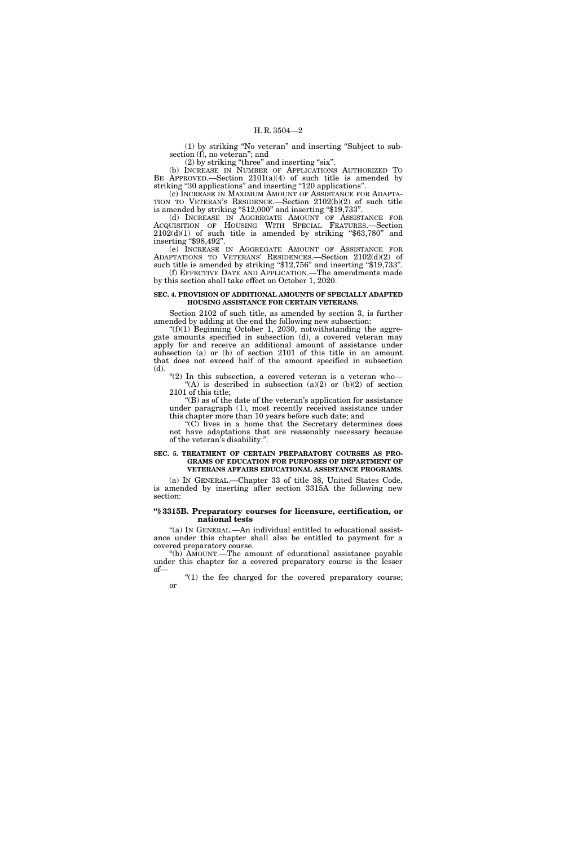(1) by striking ''No veteran'' and inserting ''Subject to subsection (f), no veteran''; and

 $(2)$  by striking "three" and inserting "six".

(b) INCREASE IN NUMBER OF APPLICATIONS AUTHORIZED TO BE APPROVED.—Section 2101(a)(4) of such title is amended by striking "30 applications" and inserting "120 applications".

(c) INCREASE IN MAXIMUM AMOUNT OF ASSISTANCE FOR ADAPTA-TION TO VETERAN'S RESIDENCE.—Section 2102(b)(2) of such title is amended by striking "\$12,000" and inserting "\$19,733".

(d) INCREASE IN AGGREGATE AMOUNT OF ASSISTANCE FOR ACQUISITION OF HOUSING WITH SPECIAL FEATURES.—Section  $2102(d)(1)$  of such title is amended by striking "\$63,780" and inserting ''\$98,492''.

(e) INCREASE IN AGGREGATE AMOUNT OF ASSISTANCE FOR ADAPTATIONS TO VETERANS' RESIDENCES.—Section 2102(d)(2) of such title is amended by striking "\$12,756" and inserting "\$19,733".

(f) EFFECTIVE DATE AND APPLICATION.—The amendments made by this section shall take effect on October 1, 2020.

#### **SEC. 4. PROVISION OF ADDITIONAL AMOUNTS OF SPECIALLY ADAPTED HOUSING ASSISTANCE FOR CERTAIN VETERANS.**

Section 2102 of such title, as amended by section 3, is further amended by adding at the end the following new subsection:

" $(f)(1)$  Beginning October 1, 2030, notwithstanding the aggregate amounts specified in subsection (d), a covered veteran may apply for and receive an additional amount of assistance under subsection (a) or (b) of section 2101 of this title in an amount that does not exceed half of the amount specified in subsection (d).

"(2) In this subsection, a covered veteran is a veteran who-"(A) is described in subsection (a)(2) or (b)(2) of section 2101 of this title;

''(B) as of the date of the veteran's application for assistance under paragraph (1), most recently received assistance under this chapter more than 10 years before such date; and

''(C) lives in a home that the Secretary determines does not have adaptations that are reasonably necessary because of the veteran's disability.''.

#### **SEC. 5. TREATMENT OF CERTAIN PREPARATORY COURSES AS PRO-GRAMS OF EDUCATION FOR PURPOSES OF DEPARTMENT OF VETERANS AFFAIRS EDUCATIONAL ASSISTANCE PROGRAMS.**

(a) IN GENERAL.—Chapter 33 of title 38, United States Code, is amended by inserting after section 3315A the following new section:

#### **''§ 3315B. Preparatory courses for licensure, certification, or national tests**

"(a) IN GENERAL.—An individual entitled to educational assistance under this chapter shall also be entitled to payment for a covered preparatory course.

''(b) AMOUNT.—The amount of educational assistance payable under this chapter for a covered preparatory course is the lesser of—

" $(1)$  the fee charged for the covered preparatory course; or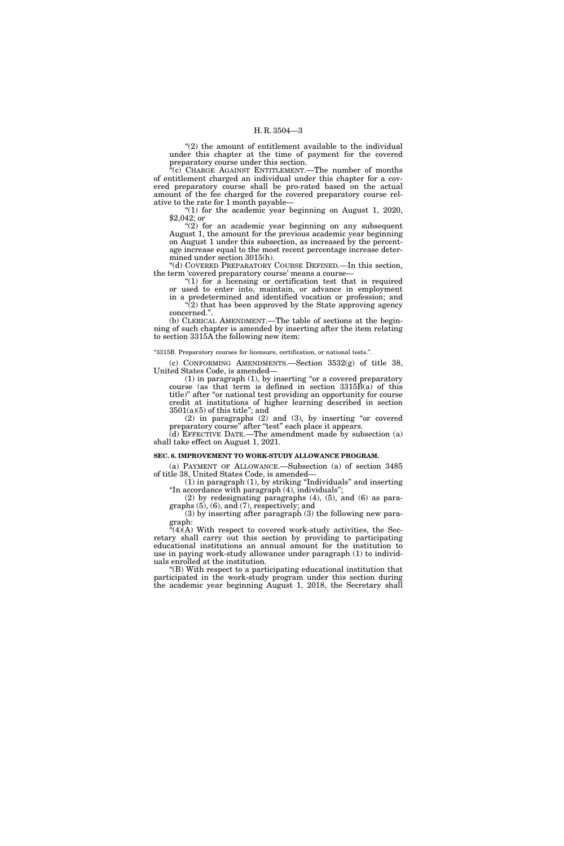$"(2)$  the amount of entitlement available to the individual under this chapter at the time of payment for the covered preparatory course under this section.

''(c) CHARGE AGAINST ENTITLEMENT.—The number of months of entitlement charged an individual under this chapter for a covered preparatory course shall be pro-rated based on the actual amount of the fee charged for the covered preparatory course relative to the rate for 1 month payable—

"(1) for the academic year beginning on August 1, 2020, \$2,042; or

" $(2)$  for an academic year beginning on any subsequent August 1, the amount for the previous academic year beginning on August 1 under this subsection, as increased by the percentage increase equal to the most recent percentage increase determined under section 3015(h).

''(d) COVERED PREPARATORY COURSE DEFINED.—In this section, the term 'covered preparatory course' means a course—

" $(1)$  for a licensing or certification test that is required or used to enter into, maintain, or advance in employment

in a predetermined and identified vocation or profession; and  $\sqrt{2}$ ) that has been approved by the State approving agency concerned.''.

(b) CLERICAL AMENDMENT.—The table of sections at the beginning of such chapter is amended by inserting after the item relating to section 3315A the following new item:

''3315B. Preparatory courses for licensure, certification, or national tests.''.

(c) CONFORMING AMENDMENTS.—Section 3532(g) of title 38, United States Code, is amended—

 $(1)$  in paragraph  $(1)$ , by inserting "or a covered preparatory course (as that term is defined in section 3315B(a) of this title)'' after ''or national test providing an opportunity for course credit at institutions of higher learning described in section  $3501(a)(5)$  of this title"; and

 $(2)$  in paragraphs  $(2)$  and  $(3)$ , by inserting "or covered preparatory course" after "test" each place it appears.

(d) EFFECTIVE DATE.—The amendment made by subsection (a) shall take effect on August 1, 2021.

#### **SEC. 6. IMPROVEMENT TO WORK-STUDY ALLOWANCE PROGRAM.**

(a) PAYMENT OF ALLOWANCE.—Subsection (a) of section 3485 of title 38, United States Code, is amended—

 $(1)$  in paragraph  $(1)$ , by striking "Individuals" and inserting ''In accordance with paragraph (4), individuals'';

(2) by redesignating paragraphs (4), (5), and (6) as paragraphs (5), (6), and (7), respectively; and

(3) by inserting after paragraph (3) the following new paragraph:

 $\mathbf{H}(4)$ (A) With respect to covered work-study activities, the Secretary shall carry out this section by providing to participating educational institutions an annual amount for the institution to use in paying work-study allowance under paragraph (1) to individuals enrolled at the institution.

''(B) With respect to a participating educational institution that participated in the work-study program under this section during the academic year beginning August 1, 2018, the Secretary shall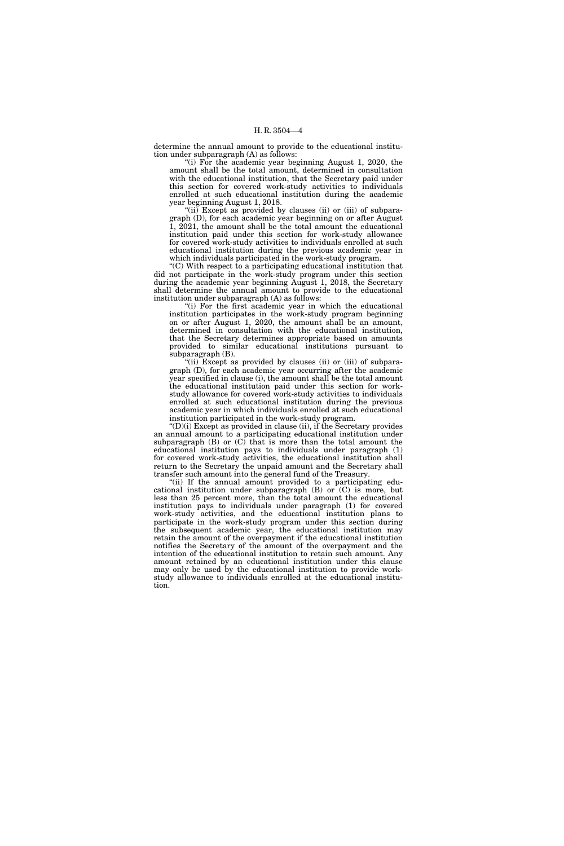determine the annual amount to provide to the educational institution under subparagraph (A) as follows:

"(i) For the academic year beginning August 1, 2020, the amount shall be the total amount, determined in consultation with the educational institution, that the Secretary paid under this section for covered work-study activities to individuals enrolled at such educational institution during the academic year beginning August 1, 2018.

"(ii) Except as provided by clauses (ii) or (iii) of subparagraph (D), for each academic year beginning on or after August 1, 2021, the amount shall be the total amount the educational institution paid under this section for work-study allowance for covered work-study activities to individuals enrolled at such educational institution during the previous academic year in which individuals participated in the work-study program.

''(C) With respect to a participating educational institution that did not participate in the work-study program under this section during the academic year beginning August 1, 2018, the Secretary shall determine the annual amount to provide to the educational institution under subparagraph (A) as follows:

"(i) For the first academic year in which the educational institution participates in the work-study program beginning on or after August 1, 2020, the amount shall be an amount, determined in consultation with the educational institution, that the Secretary determines appropriate based on amounts provided to similar educational institutions pursuant to subparagraph (B).

 $(iii)$  Except as provided by clauses (ii) or (iii) of subparagraph (D), for each academic year occurring after the academic year specified in clause (i), the amount shall be the total amount the educational institution paid under this section for workstudy allowance for covered work-study activities to individuals enrolled at such educational institution during the previous academic year in which individuals enrolled at such educational institution participated in the work-study program.

 $'(D)(i)$  Except as provided in clause (ii), if the Secretary provides an annual amount to a participating educational institution under subparagraph  $(B)$  or  $(C)$  that is more than the total amount the educational institution pays to individuals under paragraph (1) for covered work-study activities, the educational institution shall return to the Secretary the unpaid amount and the Secretary shall transfer such amount into the general fund of the Treasury.

"(ii) If the annual amount provided to a participating educational institution under subparagraph (B) or (C) is more, but less than 25 percent more, than the total amount the educational institution pays to individuals under paragraph (1) for covered work-study activities, and the educational institution plans to participate in the work-study program under this section during the subsequent academic year, the educational institution may retain the amount of the overpayment if the educational institution notifies the Secretary of the amount of the overpayment and the intention of the educational institution to retain such amount. Any amount retained by an educational institution under this clause may only be used by the educational institution to provide workstudy allowance to individuals enrolled at the educational institution.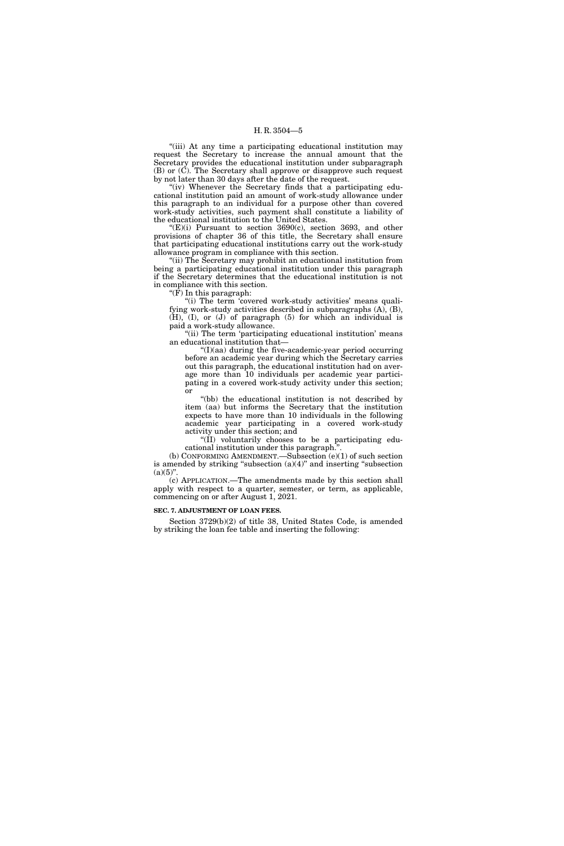#### H. R. 3504—5

"(iii) At any time a participating educational institution may request the Secretary to increase the annual amount that the Secretary provides the educational institution under subparagraph (B) or (C). The Secretary shall approve or disapprove such request by not later than 30 days after the date of the request.

"(iv) Whenever the Secretary finds that a participating educational institution paid an amount of work-study allowance under this paragraph to an individual for a purpose other than covered work-study activities, such payment shall constitute a liability of the educational institution to the United States.

" $(E)(i)$  Pursuant to section 3690 $(c)$ , section 3693, and other provisions of chapter 36 of this title, the Secretary shall ensure that participating educational institutions carry out the work-study allowance program in compliance with this section.

''(ii) The Secretary may prohibit an educational institution from being a participating educational institution under this paragraph if the Secretary determines that the educational institution is not in compliance with this section.

''(F) In this paragraph:

"(i) The term 'covered work-study activities' means qualifying work-study activities described in subparagraphs (A), (B), (H), (I), or (J) of paragraph (5) for which an individual is paid a work-study allowance.

"(ii) The term 'participating educational institution' means an educational institution that—

''(I)(aa) during the five-academic-year period occurring before an academic year during which the Secretary carries out this paragraph, the educational institution had on average more than 10 individuals per academic year participating in a covered work-study activity under this section; or

''(bb) the educational institution is not described by item (aa) but informs the Secretary that the institution expects to have more than 10 individuals in the following academic year participating in a covered work-study activity under this section; and

"(II) voluntarily chooses to be a participating educational institution under this paragraph.''.

(b) CONFORMING AMENDMENT.—Subsection (e)(1) of such section is amended by striking "subsection  $(a)(4)$ " and inserting "subsection  $(a)(5)$ ".

(c) APPLICATION.—The amendments made by this section shall apply with respect to a quarter, semester, or term, as applicable, commencing on or after August 1, 2021.

**SEC. 7. ADJUSTMENT OF LOAN FEES.** 

Section 3729(b)(2) of title 38, United States Code, is amended by striking the loan fee table and inserting the following: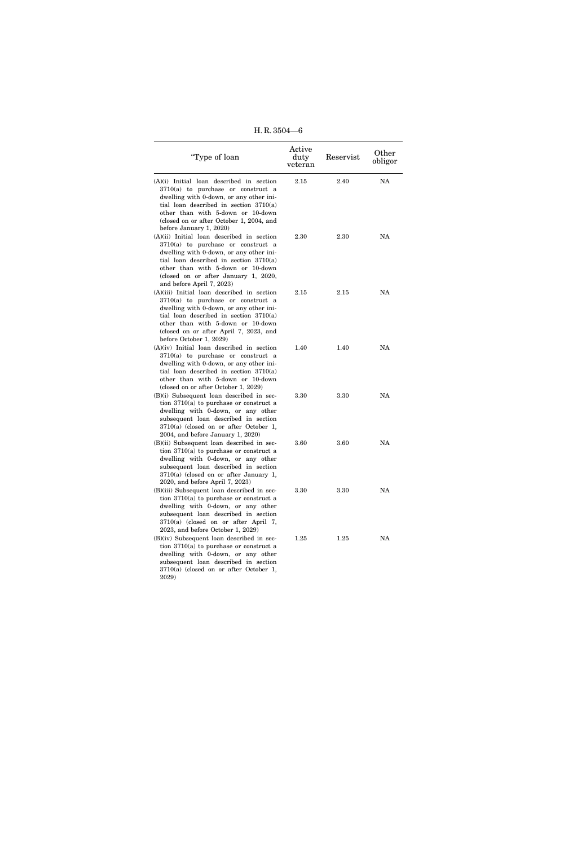H. R. 3504—6

| "Type of loan                                                                                                                                                                                                                                                                         | Active<br>duty<br>veteran | Reservist | Other<br>obligor |
|---------------------------------------------------------------------------------------------------------------------------------------------------------------------------------------------------------------------------------------------------------------------------------------|---------------------------|-----------|------------------|
| $(A)(i)$ Initial loan described in section<br>3710(a) to purchase or construct a<br>dwelling with 0-down, or any other ini-<br>tial loan described in section $3710(a)$<br>other than with 5-down or 10-down<br>(closed on or after October 1, 2004, and<br>before January 1, 2020)   | 2.15                      | 2.40      | NA               |
| $(A)(ii)$ Initial loan described in section<br>3710(a) to purchase or construct a<br>dwelling with 0-down, or any other ini-<br>tial loan described in section $3710(a)$<br>other than with 5-down or 10-down<br>(closed on or after January 1, 2020,<br>and before April 7, 2023)    | 2.30                      | 2.30      | NA               |
| $(A)(iii)$ Initial loan described in section<br>$3710(a)$ to purchase or construct a<br>dwelling with 0-down, or any other ini-<br>tial loan described in section $3710(a)$<br>other than with 5-down or 10-down<br>(closed on or after April 7, 2023, and<br>before October 1, 2029) | 2.15                      | 2.15      | NA               |
| $(A)(iv)$ Initial loan described in section<br>$3710(a)$ to purchase or construct a<br>dwelling with 0-down, or any other ini-<br>tial loan described in section $3710(a)$<br>other than with 5-down or 10-down<br>(closed on or after October 1, 2029)                               | 1.40                      | 1.40      | NA               |
| $(B)(i)$ Subsequent loan described in sec-<br>tion $3710(a)$ to purchase or construct a<br>dwelling with 0-down, or any other<br>subsequent loan described in section<br>$3710(a)$ (closed on or after October 1,<br>$2004$ , and before January 1, $2020$ )                          | 3.30                      | 3.30      | NA               |
| $(B)(ii)$ Subsequent loan described in sec-<br>tion $3710(a)$ to purchase or construct a<br>dwelling with 0-down, or any other<br>subsequent loan described in section<br>$3710(a)$ (closed on or after January 1,<br>2020, and before April 7, 2023)                                 | 3.60                      | 3.60      | NA               |
| (B)(iii) Subsequent loan described in sec-<br>tion $3710(a)$ to purchase or construct a<br>dwelling with 0-down, or any other<br>subsequent loan described in section<br>3710(a) (closed on or after April 7,<br>$2023$ , and before October 1, 2029)                                 | 3.30                      | 3.30      | <b>NA</b>        |
| $(B)(iv)$ Subsequent loan described in sec-<br>tion $3710(a)$ to purchase or construct a<br>dwelling with 0-down, or any other                                                                                                                                                        | 1.25                      | 1.25      | NA               |

subsequent loan described in section 3710(a) (closed on or after October 1, 2029)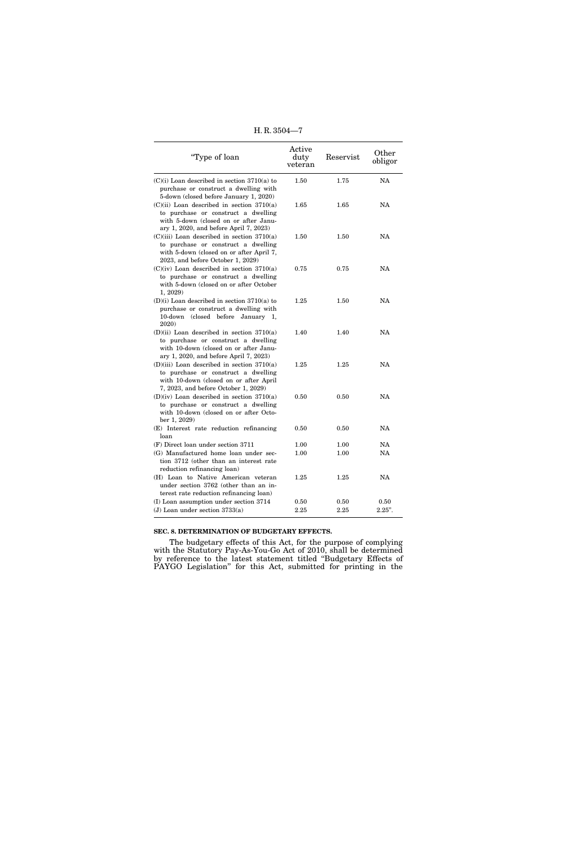H. R. 3504—7

| "Type of loan                                                                                                                                                          | Active<br>duty<br>veteran | Reservist | Other<br>obligor |
|------------------------------------------------------------------------------------------------------------------------------------------------------------------------|---------------------------|-----------|------------------|
| $(C)(i)$ Loan described in section 3710(a) to<br>purchase or construct a dwelling with<br>5-down (closed before January 1, 2020)                                       | 1.50                      | 1.75      | <b>NA</b>        |
| $(C)(ii)$ Loan described in section 3710(a)<br>to purchase or construct a dwelling<br>with 5-down (closed on or after Janu-<br>ary 1, 2020, and before April 7, 2023)  | 1.65                      | 1.65      | NA               |
| $(C)(iii)$ Loan described in section 3710(a)<br>to purchase or construct a dwelling<br>with 5-down (closed on or after April 7,<br>2023, and before October 1, 2029)   | 1.50                      | 1.50      | NA               |
| $(C)(iv)$ Loan described in section 3710(a)<br>to purchase or construct a dwelling<br>with 5-down (closed on or after October<br>1, 2029                               | 0.75                      | 0.75      | <b>NA</b>        |
| $(D)(i)$ Loan described in section 3710(a) to<br>purchase or construct a dwelling with<br>10-down (closed before January 1,<br>2020)                                   | 1.25                      | 1.50      | NA               |
| $(D)(ii)$ Loan described in section 3710(a)<br>to purchase or construct a dwelling<br>with 10-down (closed on or after Janu-<br>ary 1, 2020, and before April 7, 2023) | 1.40                      | 1.40      | NA               |
| $(D)(iii)$ Loan described in section 3710(a)<br>to purchase or construct a dwelling<br>with 10-down (closed on or after April<br>7, 2023, and before October 1, 2029)  | 1.25                      | 1.25      | NA               |
| $(D)(iv)$ Loan described in section 3710(a)<br>to purchase or construct a dwelling<br>with 10-down (closed on or after Octo-<br>ber 1, 2029)                           | 0.50                      | 0.50      | <b>NA</b>        |
| (E) Interest rate reduction refinancing<br>loan                                                                                                                        | 0.50                      | 0.50      | <b>NA</b>        |
| (F) Direct loan under section 3711                                                                                                                                     | 1.00                      | 1.00      | <b>NA</b>        |
| (G) Manufactured home loan under sec-<br>tion 3712 (other than an interest rate<br>reduction refinancing loan)                                                         | 1.00                      | 1.00      | NA               |
| (H) Loan to Native American veteran<br>under section 3762 (other than an in-<br>terest rate reduction refinancing loan)                                                | 1.25                      | 1.25      | NA               |
| (I) Loan assumption under section 3714                                                                                                                                 | 0.50                      | 0.50      | 0.50             |
| (J) Loan under section $3733(a)$                                                                                                                                       | 2.25                      | 2.25      | $2.25"$ .        |

## **SEC. 8. DETERMINATION OF BUDGETARY EFFECTS.**

The budgetary effects of this Act, for the purpose of complying with the Statutory Pay-As-You-Go Act of 2010, shall be determined by reference to the latest statement titled ''Budgetary Effects of PAYGO Legislation'' for this Act, submitted for printing in the